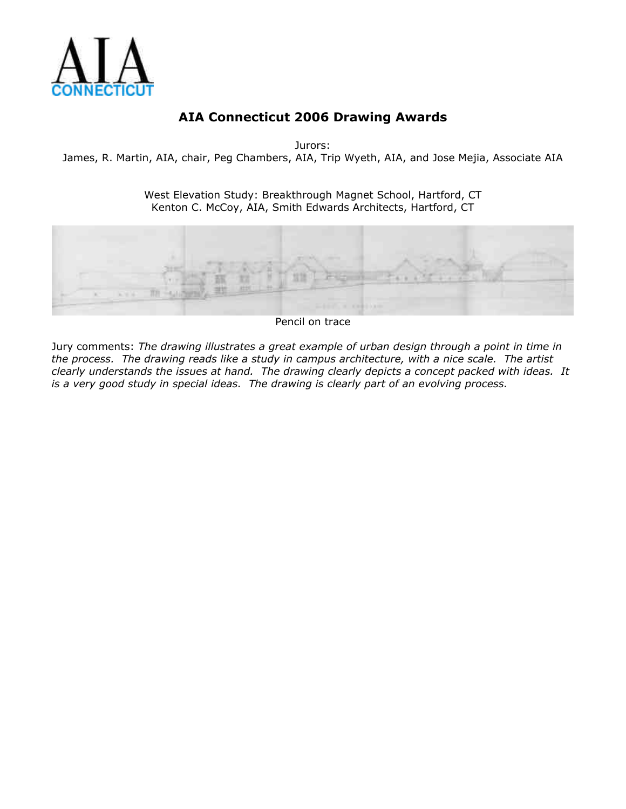

Jurors:

James, R. Martin, AIA, chair, Peg Chambers, AIA, Trip Wyeth, AIA, and Jose Mejia, Associate AIA

West Elevation Study: Breakthrough Magnet School, Hartford, CT Kenton C. McCoy, AIA, Smith Edwards Architects, Hartford, CT



Pencil on trace

Jury comments: *The drawing illustrates a great example of urban design through a point in time in the process. The drawing reads like a study in campus architecture, with a nice scale. The artist clearly understands the issues at hand. The drawing clearly depicts a concept packed with ideas. It is a very good study in special ideas. The drawing is clearly part of an evolving process.*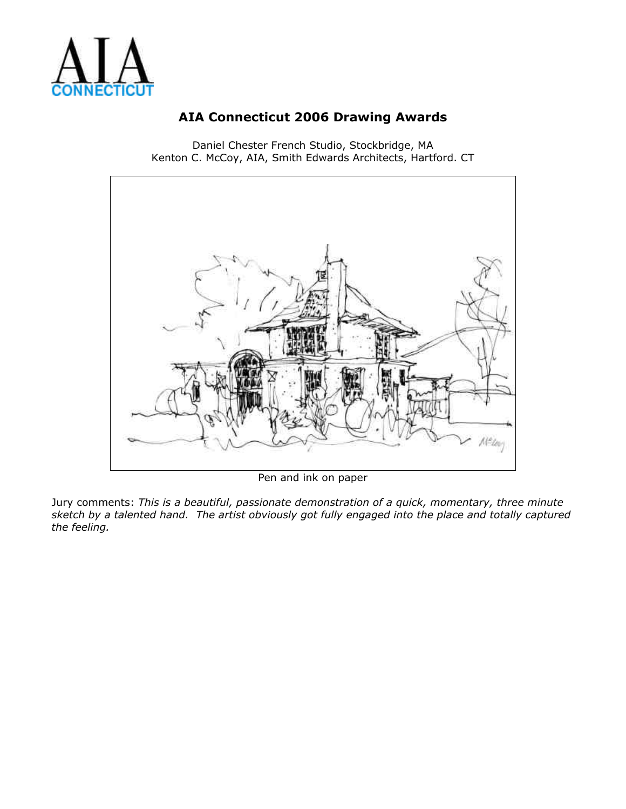

Daniel Chester French Studio, Stockbridge, MA Kenton C. McCoy, AIA, Smith Edwards Architects, Hartford. CT



Pen and ink on paper

Jury comments: *This is a beautiful, passionate demonstration of a quick, momentary, three minute sketch by a talented hand. The artist obviously got fully engaged into the place and totally captured the feeling.*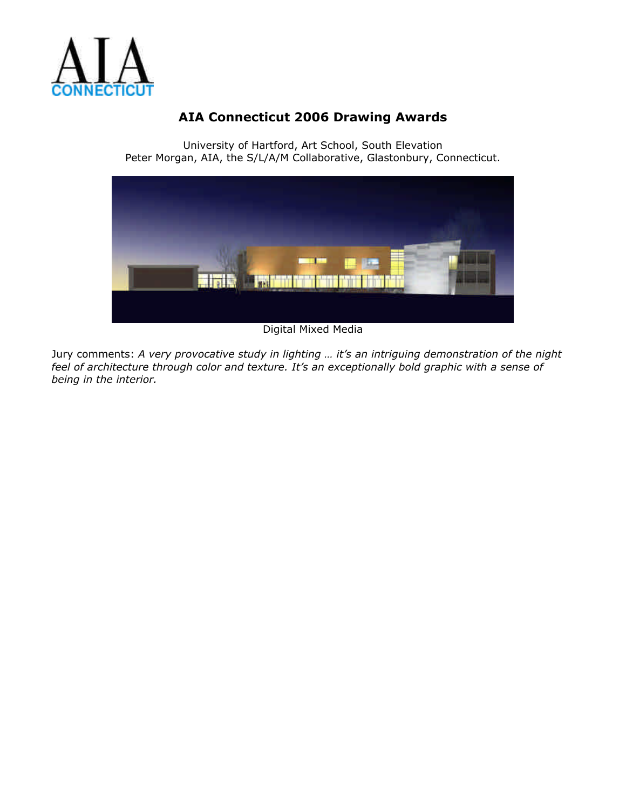

University of Hartford, Art School, South Elevation Peter Morgan, AIA, the S/L/A/M Collaborative, Glastonbury, Connecticut.



Digital Mixed Media

Jury comments: *A very provocative study in lighting … it's an intriguing demonstration of the night feel of architecture through color and texture. It's an exceptionally bold graphic with a sense of being in the interior.*